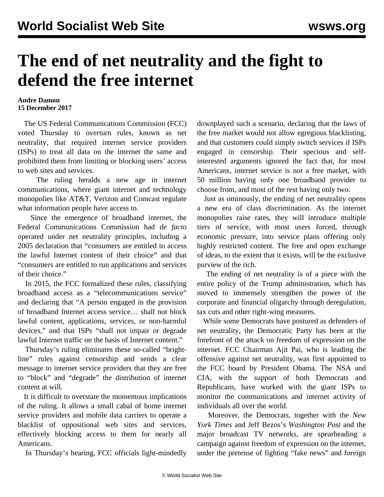## **The end of net neutrality and the fight to defend the free internet**

## **Andre Damon 15 December 2017**

 The US Federal Communications Commission (FCC) voted Thursday to overturn rules, known as net neutrality, that required internet service providers (ISPs) to treat all data on the internet the same and prohibited them from limiting or blocking users' access to web sites and services.

 The ruling heralds a new age in internet communications, where giant internet and technology monopolies like AT&T, Verizon and Comcast regulate what information people have access to.

 Since the emergence of broadband internet, the Federal Communications Commission had *de facto* operated under net neutrality principles, including a 2005 declaration that "consumers are entitled to access the lawful Internet content of their choice" and that "consumers are entitled to run applications and services of their choice."

 In 2015, the FCC formalized these rules, classifying broadband access as a "telecommunications service" and declaring that "A person engaged in the provision of broadband Internet access service… shall not block lawful content, applications, services, or non-harmful devices," and that ISPs "shall not impair or degrade lawful Internet traffic on the basis of Internet content."

 Thursday's ruling eliminates these so-called "brightline" rules against censorship and sends a clear message to internet service providers that they are free to "block" and "degrade" the distribution of internet content at will.

 It is difficult to overstate the momentous implications of the ruling. It allows a small cabal of home internet service providers and mobile data carriers to operate a blacklist of oppositional web sites and services, effectively blocking access to them for nearly all Americans.

In Thursday's hearing, FCC officials light-mindedly

downplayed such a scenario, declaring that the laws of the free market would not allow egregious blacklisting, and that customers could simply switch services if ISPs engaged in censorship. Their specious and selfinterested arguments ignored the fact that, for most Americans, internet service is not a free market, with 50 million having only one broadband provider to choose from, and most of the rest having only two.

 Just as ominously, the ending of net neutrality opens a new era of class discrimination. As the internet monopolies raise rates, they will introduce multiple tiers of service, with most users forced, through economic pressure, into service plans offering only highly restricted content. The free and open exchange of ideas, to the extent that it exists, will be the exclusive purview of the rich.

 The ending of net neutrality is of a piece with the entire policy of the Trump administration, which has moved to immensely strengthen the power of the corporate and financial oligarchy through deregulation, tax cuts and other right-wing measures.

 While some Democrats have postured as defenders of net neutrality, the Democratic Party has been at the forefront of the attack on freedom of expression on the internet. FCC Chairman Ajit Pai, who is leading the offensive against net neutrality, was first appointed to the FCC board by President Obama. The NSA and CIA, with the support of both Democrats and Republicans, have worked with the giant ISPs to monitor the communications and internet activity of individuals all over the world.

 Moreover, the Democrats, together with the *New York Times* and Jeff Bezos's *Washington Post* and the major broadcast TV networks, are spearheading a campaign against freedom of expression on the internet, under the pretense of fighting "fake news" and foreign